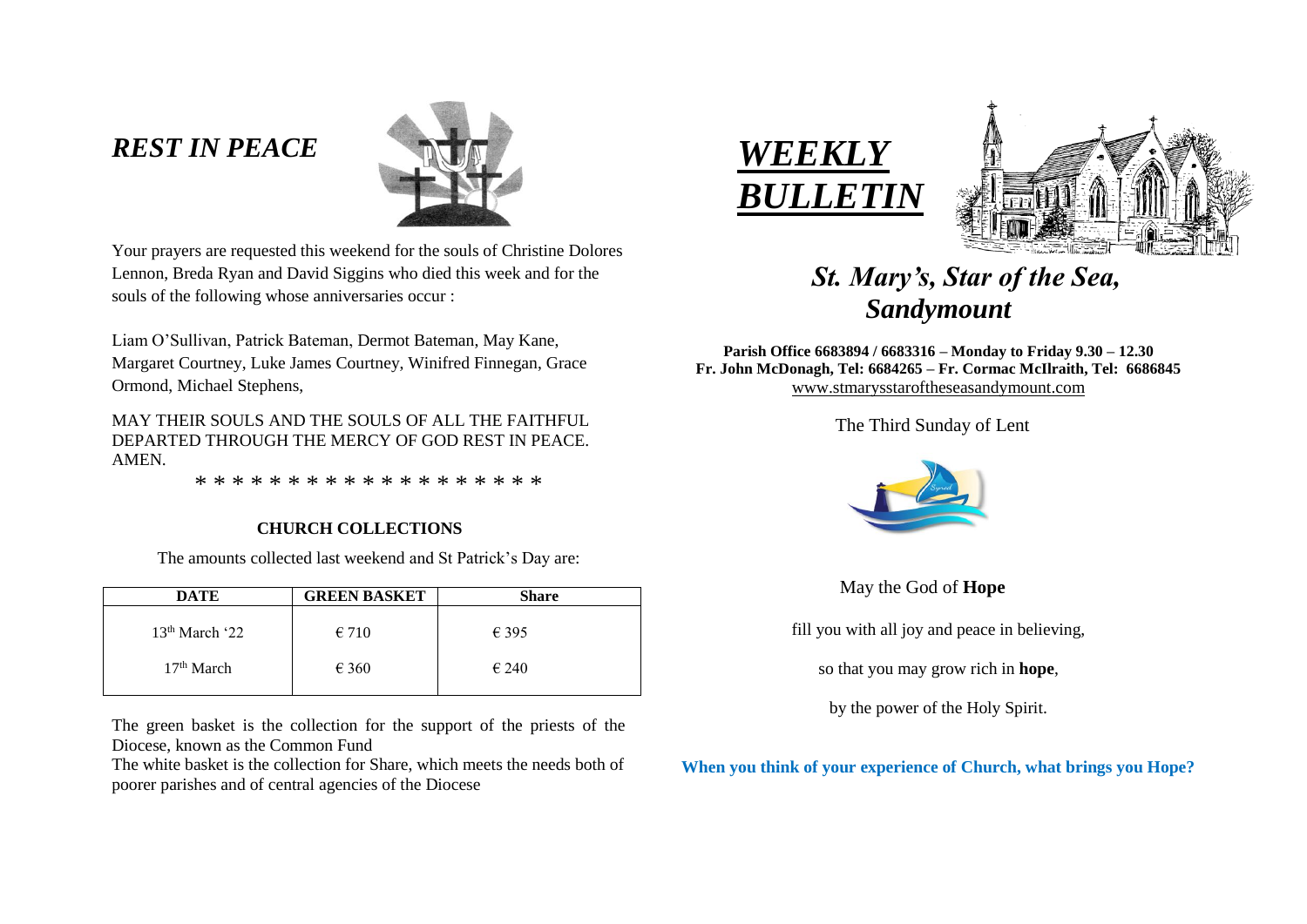## *REST IN PEACE*



Your prayers are requested this weekend for the souls of Christine Dolores Lennon, Breda Ryan and David Siggins who died this week and for the souls of the following whose anniversaries occur :

Liam O'Sullivan, Patrick Bateman, Dermot Bateman, May Kane, Margaret Courtney, Luke James Courtney, Winifred Finnegan, Grace Ormond, Michael Stephens,

MAY THEIR SOULS AND THE SOULS OF ALL THE FAITHFUL DEPARTED THROUGH THE MERCY OF GOD REST IN PEACE. AMEN.

\* \* \* \* \* \* \* \* \* \* \* \* \* \* \* \* \* \* \*

## **CHURCH COLLECTIONS**

The amounts collected last weekend and St Patrick's Day are:

| <b>DATE</b>                | <b>GREEN BASKET</b> | <b>Share</b>   |
|----------------------------|---------------------|----------------|
| 13 <sup>th</sup> March '22 | $\epsilon$ 710      | $\epsilon$ 395 |
| 17 <sup>th</sup> March     | $\epsilon$ 360      | $\epsilon$ 240 |

The green basket is the collection for the support of the priests of the Diocese, known as the Common Fund

The white basket is the collection for Share, which meets the needs both of poorer parishes and of central agencies of the Diocese





# *St. Mary's, Star of the Sea, Sandymount*

**Parish Office 6683894 / 6683316 – Monday to Friday 9.30 – 12.30 Fr. John McDonagh, Tel: 6684265 – Fr. Cormac McIlraith, Tel: 6686845** [www.stmarysstaroftheseasandymount.com](http://www.stmarysstaroftheseasandymount.com/)

The Third Sunday of Lent



May the God of **Hope**

fill you with all joy and peace in believing,

so that you may grow rich in **hope**,

by the power of the Holy Spirit.

**When you think of your experience of Church, what brings you Hope?**